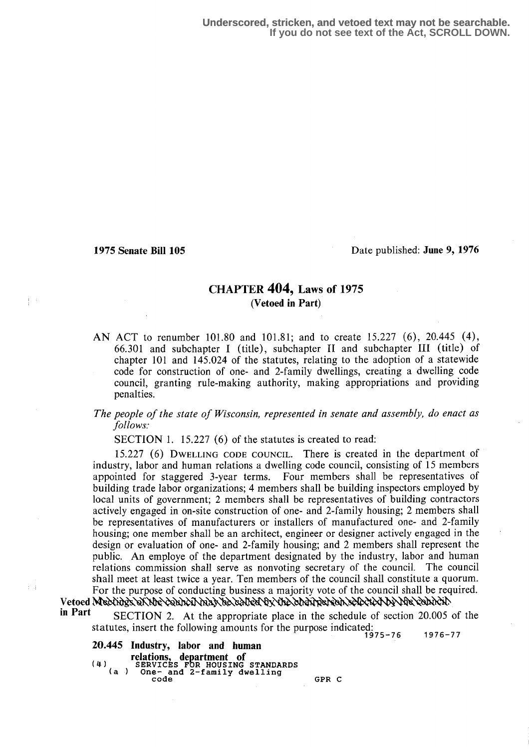中間

 $\pm$   $\pm$ 

1975 Senate Bill 105 Date published : June 9, 1976

# CHAPTER 404, Laws of 1975 (Vetoed in Part)

AN ACT to renumber 101.80 and 101.81; and to create 15.227 (6), 20.445 (4), 66.301 and subchapter I (title), subchapter II and subchapter III (title) of chapter 101 and 145.024 of the statutes, relating to the adoption of a statewide code for construction of one- and 2-family dwellings, creating a dwelling code council, granting rule-making authority, making appropriations and providing penalties.

#### The people of the state of Wisconsin, represented in senate and assembly, do enact as follows:

SECTION 1. 15.227  $(6)$  of the statutes is created to read:

15.227 (6) DWELLING CODE COUNCIL. There is created in the department of industry, labor and human relations a dwelling code council, consisting of 15 members appointed for staggered 3-year terms. Four members shall be representatives of building trade labor organizations; 4 members shall be building inspectors employed by local units of government; 2 members shall be representatives of building contractors actively engaged in on-site construction of one- and 2-family housing; 2 members shall be representatives of manufacturers or installers of manufactured one- and 2-family housing; one member shall be an architect, engineer or designer actively engaged in the design or evaluation of one- and 2-family housing; and 2 members shall represent the public. An employe of the department designated by the industry, labor and human relations commission shall serve as nonvoting secretary of the council. The council shall meet at least twice a year. Ten members of the council shall constitute a quorum. For the purpose of conducting business a majority vote of the council shall be required.

Vetoed Meetings SKUpe council may be called by the chairperson selected by the council.<br>in Part SECTION 2. At the appropriate place in the schedule of section 20.005 of the

statutes, insert the following amounts for the purpose indicated: 1976-77

20.445 Industry, labor and human relations, department of<br>(4) SERVICES FOR HOUSING STANDARDS<br>(a ) One- and 2-family dwelling GPR C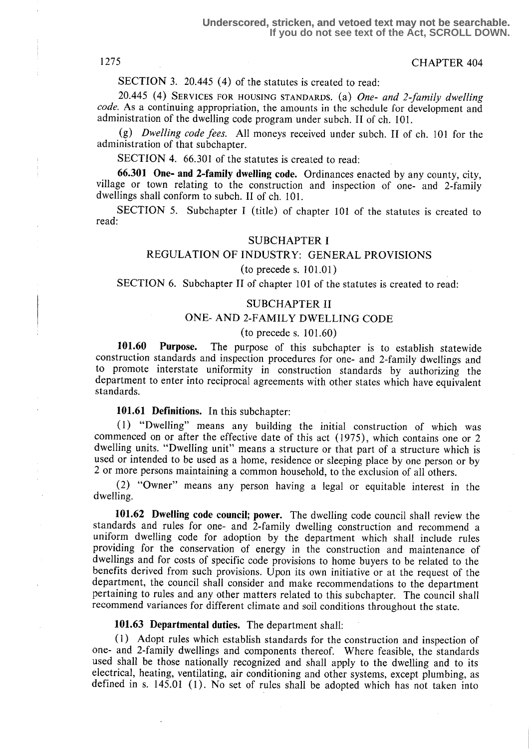## 1275 CHAPTER 404

SECTION 3. 20.445 (4) of the statutes is created to read:

20.445 (4) SERVICES FOR HOUSING STANDARDS. (a) One- and 2-family dwelling code. As a continuing appropriation, the amounts in the schedule for development and administration of the dwelling code program under subch. II of ch. 101.

(g) Dwelling code fees. All moneys received under subch. II of ch. 101 for the administration of that subchapter.

SECTION 4. 66.301 of the statutes is created to read:

66.301 One- and 2-family dwelling code. Ordinances enacted by any county, city, village or town relating to the construction and inspection of one- and 2-family dwellings shall conform to subch. II of ch. 101.

SECTION 5. Subchapter I (title) of chapter 101 of the statutes is created to read:

#### SUBCHAPTERI

### REGULATION OF INDUSTRY: GENERAL PROVISIONS

#### $(to$  precede s.  $101.01)$

SECTION 6. Subchapter II of chapter 101 of the statutes is created to read:

#### SUBCHAPTER II

## ONE- AND 2-FAMILY DWELLING CODE

#### $(to precede s. 101.60)$

101.60 Purpose. The purpose of this subchapter is to establish statewide construction standards and inspection procedures for one- and 2-family dwellings and to promote interstate uniformity in construction standards by authorizing the department to enter into reciprocal agreements with other states which have equivalent standards.

#### 101.61 Definitions. In this subchapter:

(1) "Dwelling" means any building the initial construction of which was commenced on or after the effective date of this act (1975), which contains one or 2 dwelling units. "Dwelling unit" means a structure or that part of a structure which is used or intended to be used as a home, residence or sleeping place by one person or by 2 or more persons maintaining a common household, to the exclusion of all others .

(2) "Owner" means any person having a legal or equitable interest in the dwelling.

101.62 Dwelling code council; power. The dwelling code council shall review the standards and rules for one- and 2-family dwelling construction and recommend a uniform dwelling code for adoption by the department which shall include rules providing for the conservation of energy in the construction and maintenance of dwellings and for costs of specific code provisions to home buyers to be related to the benefits derived from such provisions . Upon its own initiative or at the request of the department, the council shall consider and make recommendations to the department pertaining to rules and any other matters related to this subchapter. The council shall recommend variances for different climate and soil conditions throughout the state.

#### 101.63 Departmental duties. The department shall:

(1) Adopt rules which establish standards for the construction and inspection of one- and 2-family dwellings and components thereof. Where feasible, the standards used shall be those nationally recognized and shall apply to the dwelling and to its electrical, heating, ventilating, air conditioning and other systems, except plumbing, as defined in s. 145.01 (1) . No set of rules shall be adopted which has not taken into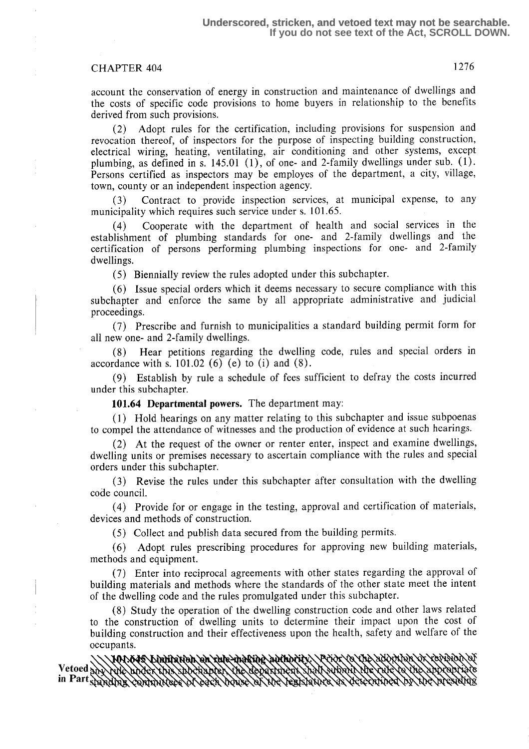# CHAPTER 404 1276

account the conservation of energy in construction and maintenance of dwellings and the costs of specific code provisions to home buyers in relationship to the benefits derived from such provisions.

(2) Adopt rules for the certification, including provisions for suspension and revocation thereof, of inspectors for the purpose of inspecting building construction, electrical wiring, heating, ventilating, air conditioning and other systems, except plumbing, as defined in s. 145.01 (1), of one- and 2-family dwellings under sub. (1) . Persons certified as inspectors may be employes of the department, a city, village, town, county or an independent inspection agency.

(3) Contract to provide inspection services, at municipal expense, to any municipality which requires such service under s. 101.65.

(4) Cooperate with the department of health and social services in the establishment of plumbing standards for one- and 2-family dwellings and the certification of persons performing plumbing inspections for one- and 2-family dwellings.

(5) Biennially review the rules adopted under this subchapter.

(6) Issue special orders which it deems necessary to secure compliance with this subchapter and enforce the same by all appropriate administrative and judicial proceedings.

(7) Prescribe and furnish to municipalities a standard building permit form for all new one- and 2-family dwellings.

(8) Hear petitions regarding the dwelling code, rules and special orders in accordance with s.  $101.02$  (6) (e) to (i) and (8).

(9) Establish by rule a schedule of fees sufficient to defray the costs incurred under this subchapter.

101.64 Departmental powers. The department may:

(1) Hold hearings on any matter relating to this subchapter and issue subpoenas to compel the attendance of witnesses and the production of evidence at such hearings.

(2) At the request of the owner or renter enter, inspect and examine dwellings, dwelling units or premises necessary to ascertain compliance with the rules and special orders under this subchapter.

(3) Revise the rules under this subchapter after consultation with the dwelling code council.

(4) Provide for or engage in the testing, approval and certification of materials, devices and methods of construction.

(5) Collect and publish data secured from the building permits .

(6) Adopt rules prescribing procedures for approving new building materials, methods and equipment.

(7) Enter into reciprocal agreements with other states regarding the approval of building materials and methods where the standards of the other state meet the intent of the dwelling code and the rules promulgated under this subchapter.

(8) Study the operation of the dwelling construction code and other laws related to the construction of dwelling units to determine their impact upon the cost of building construction and their effectiveness upon the health, safety and welfare of the

occupants.<br>\\\MMMAS\Linifation\on\tule\ind&ine\addhdrifx\\P\idx\fo\the\addrifan\dx` AYAN A Vetoed<sub>20</sub> in Part Sanding Contains YSAYYAYIYA,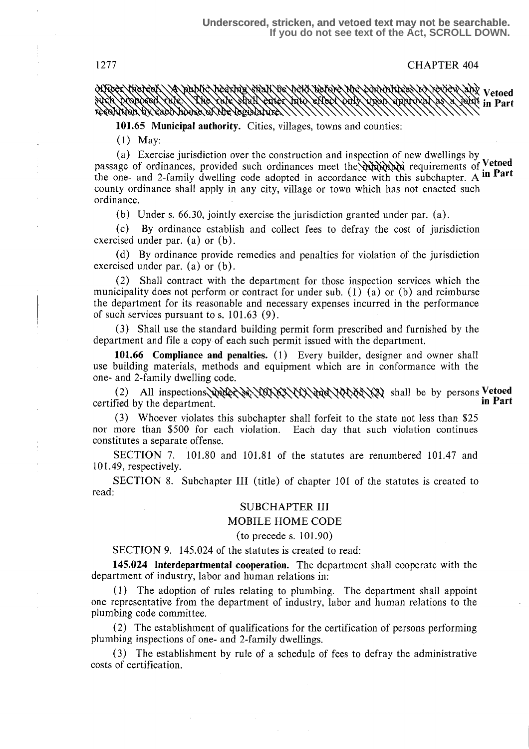1277 CHAPTER 404

Vetoels Vetoels van die Vetoels van die Verky van die 19de jaar van die Vetoels van die Vetoels van die Vetoel Myoer Anereoli in Part YAN TARKA SIYA YA GUNA TARKA YA KARISTANYA

101.65 Municipal authority. Cities, villages, towns and counties:

(1) May:

(a) Exercise jurisdiction over the construction and inspection of new dwellings by passage of ordinances, provided such ordinances meet the variable requirements of Vetoed the one- and 2-family dwelling code adopted in accordance with this subchapter. A in Part county ordinance shall apply in any city, village or town which has not enacted such ordinance.

(b) Under s. 66.30, jointly exercise the jurisdiction granted under par. (a) .

(c) By ordinance establish and collect fees to defray the cost of jurisdiction exercised under par. (a) or (b) .

(d) By ordinance provide remedies and penalties for violation of the jurisdiction exercised under par.  $(a)$  or  $(b)$ .

(2) Shall contract with the department for those inspection services which the municipality does not perform or contract for under sub. (1) (a) or (b) and reimburse the department for its reasonable and necessary expenses incurred in the performance of such services pursuant to s.  $101.63$  (9).

(3) Shall use the standard building permit form prescribed and furnished by the department and file a copy of each such permit issued with the department.

101.66 Compliance and penalties. (1) Every builder, designer and owner shall use building materials, methods and equipment which are in conformance with the one- and 2-family dwelling code.

(2) All inspections  $\frac{1}{2}$   $\frac{1}{2}$   $\frac{1}{2}$   $\frac{1}{2}$   $\frac{1}{2}$   $\frac{1}{2}$   $\frac{1}{2}$  shall be by persons Vetoed in Part certified by the department.

(3) Whoever violates this subchapter shall forfeit to the state not less than \$25 nor more than \$500 for each violation . Each day that such violation continues constitutes a separate offense.

SECTION 7. 101.80 and 101.81 of the statutes are renumbered 101.47 and 101 .49, respectively.

SECTION 8. Subchapter III (title) of chapter 101 of the statutes is created to read:

#### SUBCHAPTER III

#### MOBILE HOME CODE

### $(to precede s. 101.90)$

### SECTION 9. 145.024 of the statutes is created to read:

145.024 Interdepartmental cooperation. The department shall cooperate with the department of industry, labor and human relations in:

(1) The adoption of rules relating to plumbing. The department shall appoint one representative from the department of industry, labor and human relations to the plumbing code committee.

(2) The establishment of qualifications for the certification of persons performing plumbing inspections of one- and 2-family dwellings.

(3) The establishment by rule of a schedule of fees to defray the administrative costs of certification.